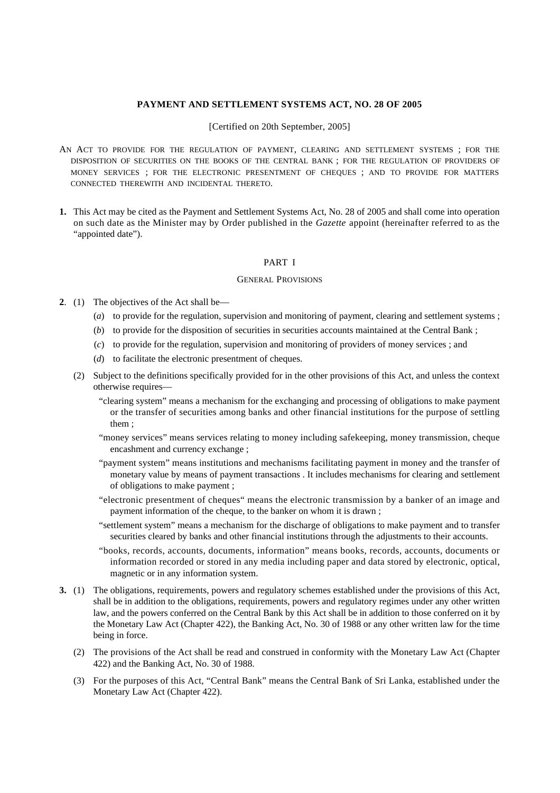## **PAYMENT AND SETTLEMENT SYSTEMS ACT, NO. 28 OF 2005**

## [Certified on 20th September, 2005]

- AN ACT TO PROVIDE FOR THE REGULATION OF PAYMENT, CLEARING AND SETTLEMENT SYSTEMS ; FOR THE DISPOSITION OF SECURITIES ON THE BOOKS OF THE CENTRAL BANK ; FOR THE REGULATION OF PROVIDERS OF MONEY SERVICES ; FOR THE ELECTRONIC PRESENTMENT OF CHEQUES ; AND TO PROVIDE FOR MATTERS CONNECTED THEREWITH AND INCIDENTAL THERETO.
- **1.** This Act may be cited as the Payment and Settlement Systems Act, No. 28 of 2005 and shall come into operation on such date as the Minister may by Order published in the *Gazette* appoint (hereinafter referred to as the "appointed date").

## PART I

## GENERAL PROVISIONS

- **2**. (1) The objectives of the Act shall be—
	- (*a*) to provide for the regulation, supervision and monitoring of payment, clearing and settlement systems ;
	- (*b*) to provide for the disposition of securities in securities accounts maintained at the Central Bank ;
	- (*c*) to provide for the regulation, supervision and monitoring of providers of money services ; and
	- (*d*) to facilitate the electronic presentment of cheques.
	- (2) Subject to the definitions specifically provided for in the other provisions of this Act, and unless the context otherwise requires—
		- "clearing system" means a mechanism for the exchanging and processing of obligations to make payment or the transfer of securities among banks and other financial institutions for the purpose of settling them ;
		- "money services" means services relating to money including safekeeping, money transmission, cheque encashment and currency exchange ;
		- "payment system" means institutions and mechanisms facilitating payment in money and the transfer of monetary value by means of payment transactions . It includes mechanisms for clearing and settlement of obligations to make payment ;
		- "electronic presentment of cheques" means the electronic transmission by a banker of an image and payment information of the cheque, to the banker on whom it is drawn ;
		- "settlement system" means a mechanism for the discharge of obligations to make payment and to transfer securities cleared by banks and other financial institutions through the adjustments to their accounts.
		- "books, records, accounts, documents, information" means books, records, accounts, documents or information recorded or stored in any media including paper and data stored by electronic, optical, magnetic or in any information system.
- **3.** (1) The obligations, requirements, powers and regulatory schemes established under the provisions of this Act, shall be in addition to the obligations, requirements, powers and regulatory regimes under any other written law, and the powers conferred on the Central Bank by this Act shall be in addition to those conferred on it by the Monetary Law Act (Chapter 422), the Banking Act, No. 30 of 1988 or any other written law for the time being in force.
	- (2) The provisions of the Act shall be read and construed in conformity with the Monetary Law Act (Chapter 422) and the Banking Act, No. 30 of 1988.
	- (3) For the purposes of this Act, "Central Bank" means the Central Bank of Sri Lanka, established under the Monetary Law Act (Chapter 422).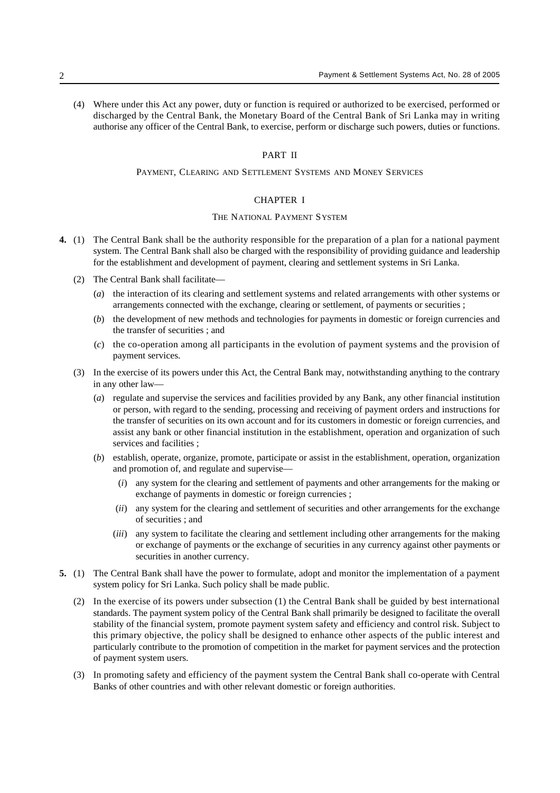(4) Where under this Act any power, duty or function is required or authorized to be exercised, performed or discharged by the Central Bank, the Monetary Board of the Central Bank of Sri Lanka may in writing authorise any officer of the Central Bank, to exercise, perform or discharge such powers, duties or functions.

#### PART II

# PAYMENT, CLEARING AND SETTLEMENT SYSTEMS AND MONEY SERVICES

# CHAPTER I

#### THE NATIONAL PAYMENT SYSTEM

- **4.** (1) The Central Bank shall be the authority responsible for the preparation of a plan for a national payment system. The Central Bank shall also be charged with the responsibility of providing guidance and leadership for the establishment and development of payment, clearing and settlement systems in Sri Lanka.
	- (2) The Central Bank shall facilitate—
		- (*a*) the interaction of its clearing and settlement systems and related arrangements with other systems or arrangements connected with the exchange, clearing or settlement, of payments or securities ;
		- (*b*) the development of new methods and technologies for payments in domestic or foreign currencies and the transfer of securities ; and
		- (*c*) the co-operation among all participants in the evolution of payment systems and the provision of payment services.
	- (3) In the exercise of its powers under this Act, the Central Bank may, notwithstanding anything to the contrary in any other law—
		- (*a*) regulate and supervise the services and facilities provided by any Bank, any other financial institution or person, with regard to the sending, processing and receiving of payment orders and instructions for the transfer of securities on its own account and for its customers in domestic or foreign currencies, and assist any bank or other financial institution in the establishment, operation and organization of such services and facilities ;
		- (*b*) establish, operate, organize, promote, participate or assist in the establishment, operation, organization and promotion of, and regulate and supervise—
			- (*i*) any system for the clearing and settlement of payments and other arrangements for the making or exchange of payments in domestic or foreign currencies ;
			- (*ii*) any system for the clearing and settlement of securities and other arrangements for the exchange of securities ; and
			- (*iii*) any system to facilitate the clearing and settlement including other arrangements for the making or exchange of payments or the exchange of securities in any currency against other payments or securities in another currency.
- **5.** (1) The Central Bank shall have the power to formulate, adopt and monitor the implementation of a payment system policy for Sri Lanka. Such policy shall be made public.
	- (2) In the exercise of its powers under subsection (1) the Central Bank shall be guided by best international standards. The payment system policy of the Central Bank shall primarily be designed to facilitate the overall stability of the financial system, promote payment system safety and efficiency and control risk. Subject to this primary objective, the policy shall be designed to enhance other aspects of the public interest and particularly contribute to the promotion of competition in the market for payment services and the protection of payment system users.
	- (3) In promoting safety and efficiency of the payment system the Central Bank shall co-operate with Central Banks of other countries and with other relevant domestic or foreign authorities.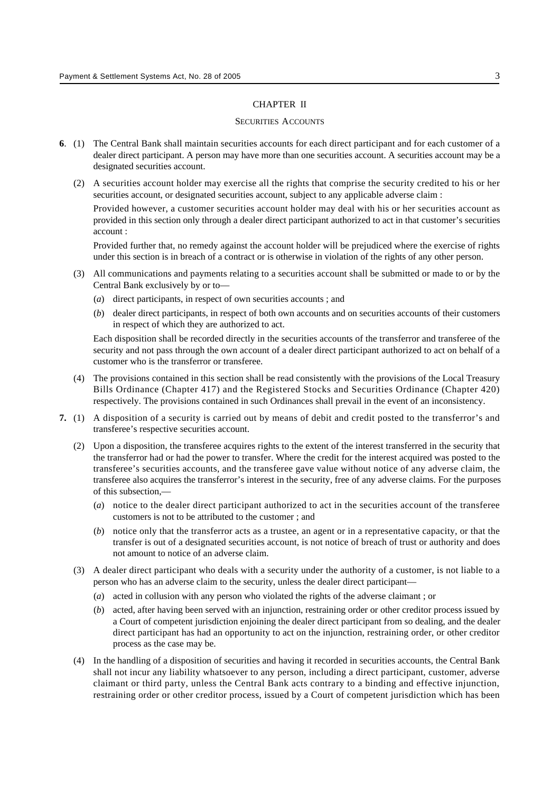## CHAPTER II

## SECURITIES ACCOUNTS

- **6**. (1) The Central Bank shall maintain securities accounts for each direct participant and for each customer of a dealer direct participant. A person may have more than one securities account. A securities account may be a designated securities account.
	- (2) A securities account holder may exercise all the rights that comprise the security credited to his or her securities account, or designated securities account, subject to any applicable adverse claim :

Provided however, a customer securities account holder may deal with his or her securities account as provided in this section only through a dealer direct participant authorized to act in that customer's securities account :

Provided further that, no remedy against the account holder will be prejudiced where the exercise of rights under this section is in breach of a contract or is otherwise in violation of the rights of any other person.

- (3) All communications and payments relating to a securities account shall be submitted or made to or by the Central Bank exclusively by or to—
	- (*a*) direct participants, in respect of own securities accounts ; and
	- (*b*) dealer direct participants, in respect of both own accounts and on securities accounts of their customers in respect of which they are authorized to act.

Each disposition shall be recorded directly in the securities accounts of the transferror and transferee of the security and not pass through the own account of a dealer direct participant authorized to act on behalf of a customer who is the transferror or transferee.

- (4) The provisions contained in this section shall be read consistently with the provisions of the Local Treasury Bills Ordinance (Chapter 417) and the Registered Stocks and Securities Ordinance (Chapter 420) respectively. The provisions contained in such Ordinances shall prevail in the event of an inconsistency.
- **7.** (1) A disposition of a security is carried out by means of debit and credit posted to the transferror's and transferee's respective securities account.
	- (2) Upon a disposition, the transferee acquires rights to the extent of the interest transferred in the security that the transferror had or had the power to transfer. Where the credit for the interest acquired was posted to the transferee's securities accounts, and the transferee gave value without notice of any adverse claim, the transferee also acquires the transferror's interest in the security, free of any adverse claims. For the purposes of this subsection,—
		- (*a*) notice to the dealer direct participant authorized to act in the securities account of the transferee customers is not to be attributed to the customer ; and
		- (*b*) notice only that the transferror acts as a trustee, an agent or in a representative capacity, or that the transfer is out of a designated securities account, is not notice of breach of trust or authority and does not amount to notice of an adverse claim.
	- (3) A dealer direct participant who deals with a security under the authority of a customer, is not liable to a person who has an adverse claim to the security, unless the dealer direct participant—
		- (*a*) acted in collusion with any person who violated the rights of the adverse claimant ; or
		- (*b*) acted, after having been served with an injunction, restraining order or other creditor process issued by a Court of competent jurisdiction enjoining the dealer direct participant from so dealing, and the dealer direct participant has had an opportunity to act on the injunction, restraining order, or other creditor process as the case may be.
	- (4) In the handling of a disposition of securities and having it recorded in securities accounts, the Central Bank shall not incur any liability whatsoever to any person, including a direct participant, customer, adverse claimant or third party, unless the Central Bank acts contrary to a binding and effective injunction, restraining order or other creditor process, issued by a Court of competent jurisdiction which has been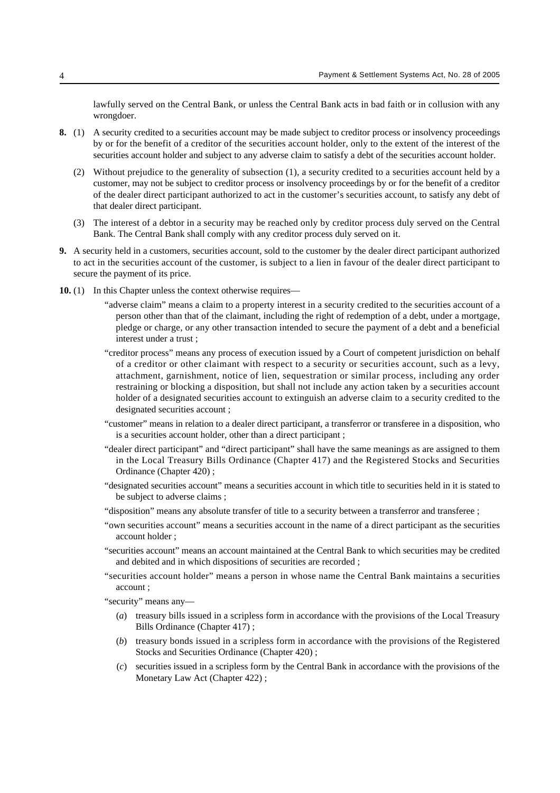lawfully served on the Central Bank, or unless the Central Bank acts in bad faith or in collusion with any wrongdoer.

- **8.** (1) A security credited to a securities account may be made subject to creditor process or insolvency proceedings by or for the benefit of a creditor of the securities account holder, only to the extent of the interest of the securities account holder and subject to any adverse claim to satisfy a debt of the securities account holder.
	- (2) Without prejudice to the generality of subsection (1), a security credited to a securities account held by a customer, may not be subject to creditor process or insolvency proceedings by or for the benefit of a creditor of the dealer direct participant authorized to act in the customer's securities account, to satisfy any debt of that dealer direct participant.
	- (3) The interest of a debtor in a security may be reached only by creditor process duly served on the Central Bank. The Central Bank shall comply with any creditor process duly served on it.
- **9.** A security held in a customers, securities account, sold to the customer by the dealer direct participant authorized to act in the securities account of the customer, is subject to a lien in favour of the dealer direct participant to secure the payment of its price.
- **10.** (1) In this Chapter unless the context otherwise requires—
	- "adverse claim" means a claim to a property interest in a security credited to the securities account of a person other than that of the claimant, including the right of redemption of a debt, under a mortgage, pledge or charge, or any other transaction intended to secure the payment of a debt and a beneficial interest under a trust ;
	- "creditor process" means any process of execution issued by a Court of competent jurisdiction on behalf of a creditor or other claimant with respect to a security or securities account, such as a levy, attachment, garnishment, notice of lien, sequestration or similar process, including any order restraining or blocking a disposition, but shall not include any action taken by a securities account holder of a designated securities account to extinguish an adverse claim to a security credited to the designated securities account ;
	- "customer" means in relation to a dealer direct participant, a transferror or transferee in a disposition, who is a securities account holder, other than a direct participant ;
	- "dealer direct participant" and "direct participant" shall have the same meanings as are assigned to them in the Local Treasury Bills Ordinance (Chapter 417) and the Registered Stocks and Securities Ordinance (Chapter 420) ;
	- "designated securities account" means a securities account in which title to securities held in it is stated to be subject to adverse claims ;
	- "disposition" means any absolute transfer of title to a security between a transferror and transferee ;
	- "own securities account" means a securities account in the name of a direct participant as the securities account holder ;
	- "securities account" means an account maintained at the Central Bank to which securities may be credited and debited and in which dispositions of securities are recorded ;
	- "securities account holder" means a person in whose name the Central Bank maintains a securities account ;

"security" means any—

- (*a*) treasury bills issued in a scripless form in accordance with the provisions of the Local Treasury Bills Ordinance (Chapter 417) ;
- (*b*) treasury bonds issued in a scripless form in accordance with the provisions of the Registered Stocks and Securities Ordinance (Chapter 420) ;
- (*c*) securities issued in a scripless form by the Central Bank in accordance with the provisions of the Monetary Law Act (Chapter 422) ;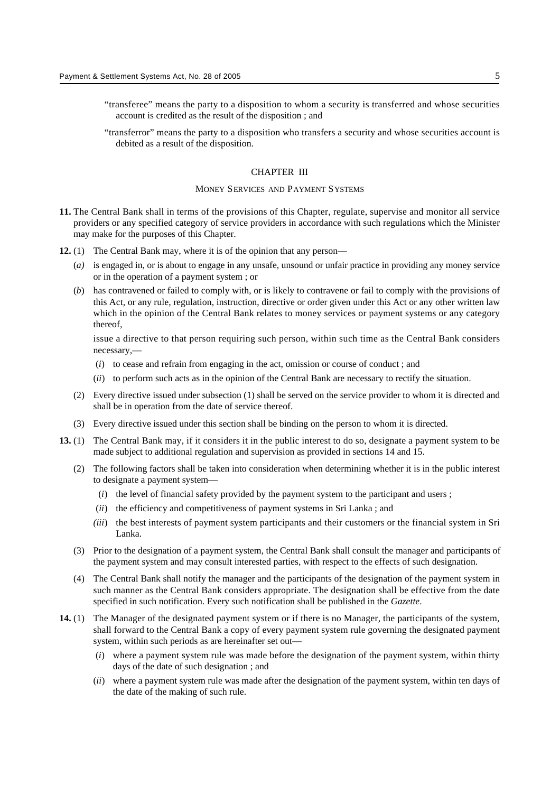- "transferee" means the party to a disposition to whom a security is transferred and whose securities account is credited as the result of the disposition ; and
- "transferror" means the party to a disposition who transfers a security and whose securities account is debited as a result of the disposition.

# CHAPTER III

#### MONEY SERVICES AND PAYMENT SYSTEMS

- **11.** The Central Bank shall in terms of the provisions of this Chapter, regulate, supervise and monitor all service providers or any specified category of service providers in accordance with such regulations which the Minister may make for the purposes of this Chapter.
- **12.** (1) The Central Bank may, where it is of the opinion that any person—
	- (*a)* is engaged in, or is about to engage in any unsafe, unsound or unfair practice in providing any money service or in the operation of a payment system ; or
	- (*b*) has contravened or failed to comply with, or is likely to contravene or fail to comply with the provisions of this Act, or any rule, regulation, instruction, directive or order given under this Act or any other written law which in the opinion of the Central Bank relates to money services or payment systems or any category thereof,

issue a directive to that person requiring such person, within such time as the Central Bank considers necessary,—

- (*i*) to cease and refrain from engaging in the act, omission or course of conduct ; and
- (*ii*) to perform such acts as in the opinion of the Central Bank are necessary to rectify the situation.
- (2) Every directive issued under subsection (1) shall be served on the service provider to whom it is directed and shall be in operation from the date of service thereof.
- (3) Every directive issued under this section shall be binding on the person to whom it is directed.
- **13.** (1) The Central Bank may, if it considers it in the public interest to do so, designate a payment system to be made subject to additional regulation and supervision as provided in sections 14 and 15.
	- (2) The following factors shall be taken into consideration when determining whether it is in the public interest to designate a payment system—
		- (*i*) the level of financial safety provided by the payment system to the participant and users ;
		- (*ii*) the efficiency and competitiveness of payment systems in Sri Lanka ; and
		- *(iii*) the best interests of payment system participants and their customers or the financial system in Sri Lanka.
	- (3) Prior to the designation of a payment system, the Central Bank shall consult the manager and participants of the payment system and may consult interested parties, with respect to the effects of such designation.
	- (4) The Central Bank shall notify the manager and the participants of the designation of the payment system in such manner as the Central Bank considers appropriate. The designation shall be effective from the date specified in such notification. Every such notification shall be published in the *Gazette*.
- **14.** (1) The Manager of the designated payment system or if there is no Manager, the participants of the system, shall forward to the Central Bank a copy of every payment system rule governing the designated payment system, within such periods as are hereinafter set out—
	- (*i*) where a payment system rule was made before the designation of the payment system, within thirty days of the date of such designation ; and
	- (*ii*) where a payment system rule was made after the designation of the payment system, within ten days of the date of the making of such rule.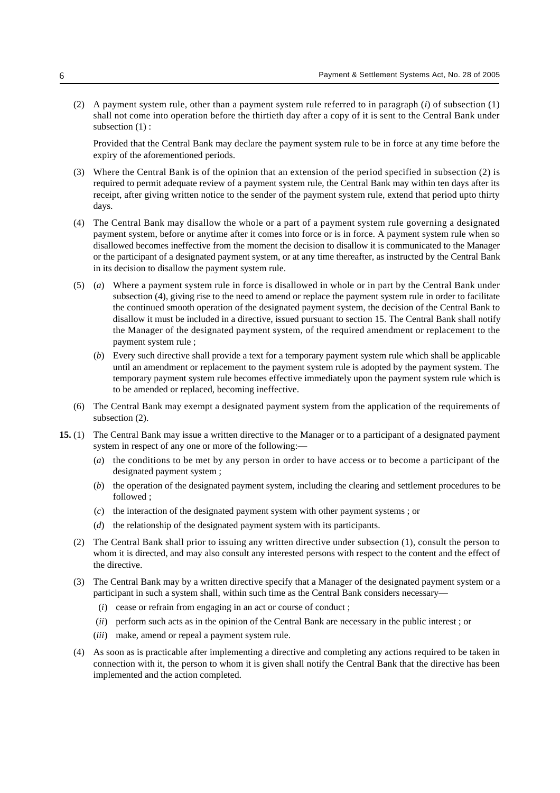(2) A payment system rule, other than a payment system rule referred to in paragraph (*i*) of subsection (1) shall not come into operation before the thirtieth day after a copy of it is sent to the Central Bank under subsection  $(1)$ :

Provided that the Central Bank may declare the payment system rule to be in force at any time before the expiry of the aforementioned periods.

- (3) Where the Central Bank is of the opinion that an extension of the period specified in subsection (2) is required to permit adequate review of a payment system rule, the Central Bank may within ten days after its receipt, after giving written notice to the sender of the payment system rule, extend that period upto thirty days.
- (4) The Central Bank may disallow the whole or a part of a payment system rule governing a designated payment system, before or anytime after it comes into force or is in force. A payment system rule when so disallowed becomes ineffective from the moment the decision to disallow it is communicated to the Manager or the participant of a designated payment system, or at any time thereafter, as instructed by the Central Bank in its decision to disallow the payment system rule.
- (5) (*a*) Where a payment system rule in force is disallowed in whole or in part by the Central Bank under subsection (4), giving rise to the need to amend or replace the payment system rule in order to facilitate the continued smooth operation of the designated payment system, the decision of the Central Bank to disallow it must be included in a directive, issued pursuant to section 15. The Central Bank shall notify the Manager of the designated payment system, of the required amendment or replacement to the payment system rule ;
	- (*b*) Every such directive shall provide a text for a temporary payment system rule which shall be applicable until an amendment or replacement to the payment system rule is adopted by the payment system. The temporary payment system rule becomes effective immediately upon the payment system rule which is to be amended or replaced, becoming ineffective.
- (6) The Central Bank may exempt a designated payment system from the application of the requirements of subsection (2).
- **15.** (1) The Central Bank may issue a written directive to the Manager or to a participant of a designated payment system in respect of any one or more of the following:—
	- (*a*) the conditions to be met by any person in order to have access or to become a participant of the designated payment system ;
	- (*b*) the operation of the designated payment system, including the clearing and settlement procedures to be followed ;
	- (*c*) the interaction of the designated payment system with other payment systems ; or
	- (*d*) the relationship of the designated payment system with its participants.
	- (2) The Central Bank shall prior to issuing any written directive under subsection (1), consult the person to whom it is directed, and may also consult any interested persons with respect to the content and the effect of the directive.
	- (3) The Central Bank may by a written directive specify that a Manager of the designated payment system or a participant in such a system shall, within such time as the Central Bank considers necessary—
		- (*i*) cease or refrain from engaging in an act or course of conduct ;
		- (*ii*) perform such acts as in the opinion of the Central Bank are necessary in the public interest ; or
		- (*iii*) make, amend or repeal a payment system rule.
	- (4) As soon as is practicable after implementing a directive and completing any actions required to be taken in connection with it, the person to whom it is given shall notify the Central Bank that the directive has been implemented and the action completed.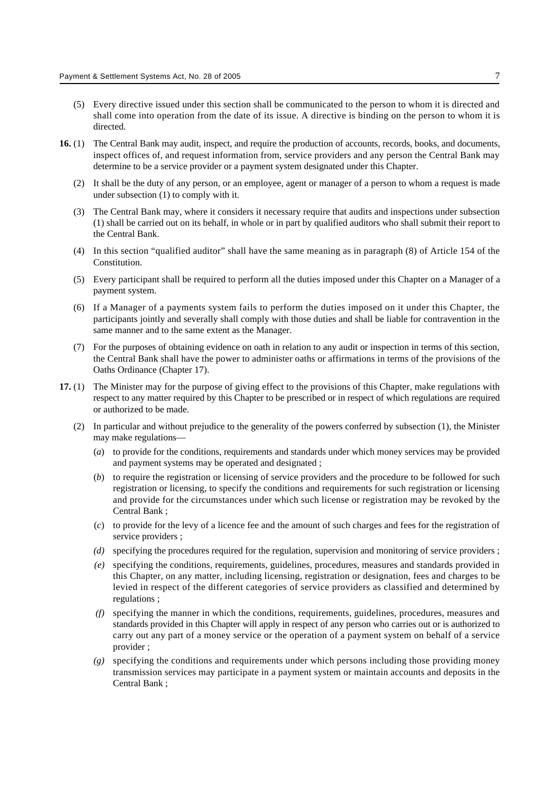- (5) Every directive issued under this section shall be communicated to the person to whom it is directed and shall come into operation from the date of its issue. A directive is binding on the person to whom it is directed.
- **16.** (1) The Central Bank may audit, inspect, and require the production of accounts, records, books, and documents, inspect offices of, and request information from, service providers and any person the Central Bank may determine to be a service provider or a payment system designated under this Chapter.
	- (2) It shall be the duty of any person, or an employee, agent or manager of a person to whom a request is made under subsection (1) to comply with it.
	- (3) The Central Bank may, where it considers it necessary require that audits and inspections under subsection (1) shall be carried out on its behalf, in whole or in part by qualified auditors who shall submit their report to the Central Bank.
	- (4) In this section "qualified auditor" shall have the same meaning as in paragraph (8) of Article 154 of the Constitution.
	- (5) Every participant shall be required to perform all the duties imposed under this Chapter on a Manager of a payment system.
	- (6) If a Manager of a payments system fails to perform the duties imposed on it under this Chapter, the participants jointly and severally shall comply with those duties and shall be liable for contravention in the same manner and to the same extent as the Manager.
	- (7) For the purposes of obtaining evidence on oath in relation to any audit or inspection in terms of this section, the Central Bank shall have the power to administer oaths or affirmations in terms of the provisions of the Oaths Ordinance (Chapter 17).
- **17.** (1) The Minister may for the purpose of giving effect to the provisions of this Chapter, make regulations with respect to any matter required by this Chapter to be prescribed or in respect of which regulations are required or authorized to be made.
	- (2) In particular and without prejudice to the generality of the powers conferred by subsection (1), the Minister may make regulations—
		- (*a*) to provide for the conditions, requirements and standards under which money services may be provided and payment systems may be operated and designated ;
		- (*b*) to require the registration or licensing of service providers and the procedure to be followed for such registration or licensing, to specify the conditions and requirements for such registration or licensing and provide for the circumstances under which such license or registration may be revoked by the Central Bank ;
		- (*c*) to provide for the levy of a licence fee and the amount of such charges and fees for the registration of service providers ;
		- *(d)* specifying the procedures required for the regulation, supervision and monitoring of service providers ;
		- *(e)* specifying the conditions, requirements, guidelines, procedures, measures and standards provided in this Chapter, on any matter, including licensing, registration or designation, fees and charges to be levied in respect of the different categories of service providers as classified and determined by regulations ;
		- *(f)* specifying the manner in which the conditions, requirements, guidelines, procedures, measures and standards provided in this Chapter will apply in respect of any person who carries out or is authorized to carry out any part of a money service or the operation of a payment system on behalf of a service provider ;
		- *(g)* specifying the conditions and requirements under which persons including those providing money transmission services may participate in a payment system or maintain accounts and deposits in the Central Bank ;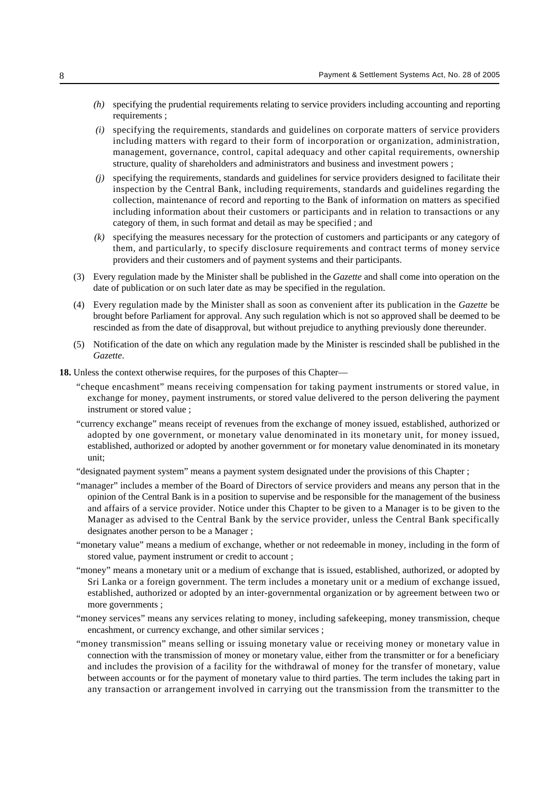- *(h)* specifying the prudential requirements relating to service providers including accounting and reporting requirements ;
- *(i)* specifying the requirements, standards and guidelines on corporate matters of service providers including matters with regard to their form of incorporation or organization, administration, management, governance, control, capital adequacy and other capital requirements, ownership structure, quality of shareholders and administrators and business and investment powers ;
- *(j)* specifying the requirements, standards and guidelines for service providers designed to facilitate their inspection by the Central Bank, including requirements, standards and guidelines regarding the collection, maintenance of record and reporting to the Bank of information on matters as specified including information about their customers or participants and in relation to transactions or any category of them, in such format and detail as may be specified ; and
- *(k)* specifying the measures necessary for the protection of customers and participants or any category of them, and particularly, to specify disclosure requirements and contract terms of money service providers and their customers and of payment systems and their participants.
- (3) Every regulation made by the Minister shall be published in the *Gazette* and shall come into operation on the date of publication or on such later date as may be specified in the regulation.
- (4) Every regulation made by the Minister shall as soon as convenient after its publication in the *Gazette* be brought before Parliament for approval. Any such regulation which is not so approved shall be deemed to be rescinded as from the date of disapproval, but without prejudice to anything previously done thereunder.
- (5) Notification of the date on which any regulation made by the Minister is rescinded shall be published in the *Gazette*.
- **18.** Unless the context otherwise requires, for the purposes of this Chapter—
	- "cheque encashment" means receiving compensation for taking payment instruments or stored value, in exchange for money, payment instruments, or stored value delivered to the person delivering the payment instrument or stored value ;
	- "currency exchange" means receipt of revenues from the exchange of money issued, established, authorized or adopted by one government, or monetary value denominated in its monetary unit, for money issued, established, authorized or adopted by another government or for monetary value denominated in its monetary unit;
	- "designated payment system" means a payment system designated under the provisions of this Chapter ;
	- "manager" includes a member of the Board of Directors of service providers and means any person that in the opinion of the Central Bank is in a position to supervise and be responsible for the management of the business and affairs of a service provider. Notice under this Chapter to be given to a Manager is to be given to the Manager as advised to the Central Bank by the service provider, unless the Central Bank specifically designates another person to be a Manager ;
	- "monetary value" means a medium of exchange, whether or not redeemable in money, including in the form of stored value, payment instrument or credit to account ;
	- "money" means a monetary unit or a medium of exchange that is issued, established, authorized, or adopted by Sri Lanka or a foreign government. The term includes a monetary unit or a medium of exchange issued, established, authorized or adopted by an inter-governmental organization or by agreement between two or more governments ;
	- "money services" means any services relating to money, including safekeeping, money transmission, cheque encashment, or currency exchange, and other similar services ;
	- "money transmission" means selling or issuing monetary value or receiving money or monetary value in connection with the transmission of money or monetary value, either from the transmitter or for a beneficiary and includes the provision of a facility for the withdrawal of money for the transfer of monetary, value between accounts or for the payment of monetary value to third parties. The term includes the taking part in any transaction or arrangement involved in carrying out the transmission from the transmitter to the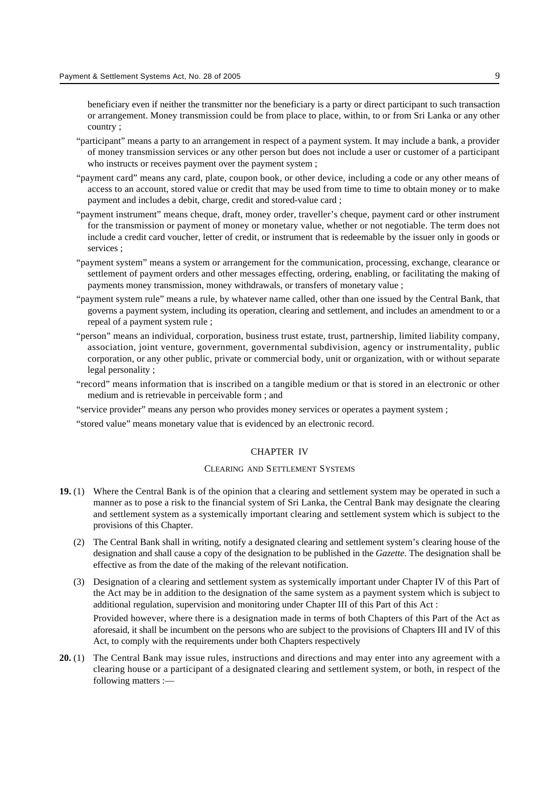beneficiary even if neither the transmitter nor the beneficiary is a party or direct participant to such transaction or arrangement. Money transmission could be from place to place, within, to or from Sri Lanka or any other country ;

- "participant" means a party to an arrangement in respect of a payment system. It may include a bank, a provider of money transmission services or any other person but does not include a user or customer of a participant who instructs or receives payment over the payment system ;
- "payment card" means any card, plate, coupon book, or other device, including a code or any other means of access to an account, stored value or credit that may be used from time to time to obtain money or to make payment and includes a debit, charge, credit and stored-value card ;
- "payment instrument" means cheque, draft, money order, traveller's cheque, payment card or other instrument for the transmission or payment of money or monetary value, whether or not negotiable. The term does not include a credit card voucher, letter of credit, or instrument that is redeemable by the issuer only in goods or services ;
- "payment system" means a system or arrangement for the communication, processing, exchange, clearance or settlement of payment orders and other messages effecting, ordering, enabling, or facilitating the making of payments money transmission, money withdrawals, or transfers of monetary value ;
- "payment system rule" means a rule, by whatever name called, other than one issued by the Central Bank, that governs a payment system, including its operation, clearing and settlement, and includes an amendment to or a repeal of a payment system rule ;
- "person" means an individual, corporation, business trust estate, trust, partnership, limited liability company, association, joint venture, government, governmental subdivision, agency or instrumentality, public corporation, or any other public, private or commercial body, unit or organization, with or without separate legal personality ;
- "record" means information that is inscribed on a tangible medium or that is stored in an electronic or other medium and is retrievable in perceivable form ; and
- "service provider" means any person who provides money services or operates a payment system ;
- "stored value" means monetary value that is evidenced by an electronic record.

# CHAPTER IV

# CLEARING AND SETTLEMENT SYSTEMS

- **19.** (1) Where the Central Bank is of the opinion that a clearing and settlement system may be operated in such a manner as to pose a risk to the financial system of Sri Lanka, the Central Bank may designate the clearing and settlement system as a systemically important clearing and settlement system which is subject to the provisions of this Chapter.
	- (2) The Central Bank shall in writing, notify a designated clearing and settlement system's clearing house of the designation and shall cause a copy of the designation to be published in the *Gazette*. The designation shall be effective as from the date of the making of the relevant notification.
	- (3) Designation of a clearing and settlement system as systemically important under Chapter IV of this Part of the Act may be in addition to the designation of the same system as a payment system which is subject to additional regulation, supervision and monitoring under Chapter III of this Part of this Act :

Provided however, where there is a designation made in terms of both Chapters of this Part of the Act as aforesaid, it shall be incumbent on the persons who are subject to the provisions of Chapters III and IV of this Act, to comply with the requirements under both Chapters respectively

**20.** (1) The Central Bank may issue rules, instructions and directions and may enter into any agreement with a clearing house or a participant of a designated clearing and settlement system, or both, in respect of the following matters :—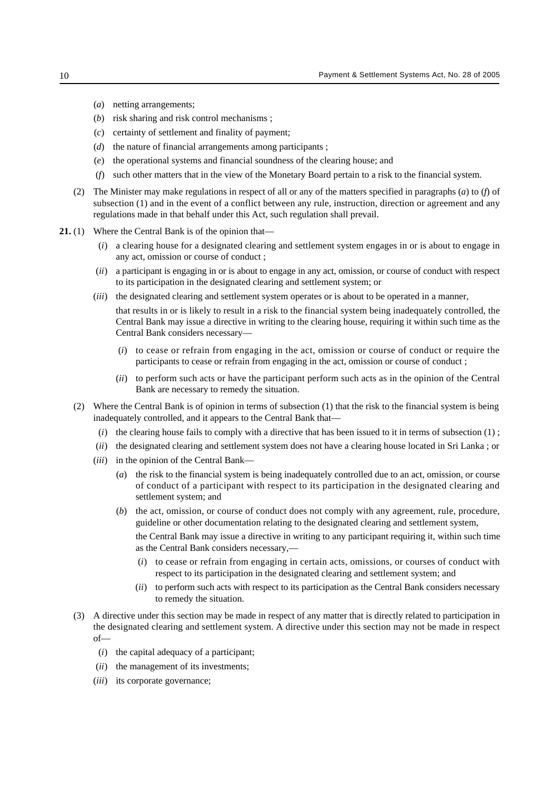- (*a*) netting arrangements;
- (*b*) risk sharing and risk control mechanisms ;
- (*c*) certainty of settlement and finality of payment;
- (*d*) the nature of financial arrangements among participants ;
- (*e*) the operational systems and financial soundness of the clearing house; and
- (*f*) such other matters that in the view of the Monetary Board pertain to a risk to the financial system.
- (2) The Minister may make regulations in respect of all or any of the matters specified in paragraphs (*a*) to (*f*) of subsection (1) and in the event of a conflict between any rule, instruction, direction or agreement and any regulations made in that behalf under this Act, such regulation shall prevail.
- **21.** (1) Where the Central Bank is of the opinion that—
	- (*i*) a clearing house for a designated clearing and settlement system engages in or is about to engage in any act, omission or course of conduct ;
	- (*ii*) a participant is engaging in or is about to engage in any act, omission, or course of conduct with respect to its participation in the designated clearing and settlement system; or
	- (*iii*) the designated clearing and settlement system operates or is about to be operated in a manner,

that results in or is likely to result in a risk to the financial system being inadequately controlled, the Central Bank may issue a directive in writing to the clearing house, requiring it within such time as the Central Bank considers necessary—

- (*i*) to cease or refrain from engaging in the act, omission or course of conduct or require the participants to cease or refrain from engaging in the act, omission or course of conduct ;
- (*ii*) to perform such acts or have the participant perform such acts as in the opinion of the Central Bank are necessary to remedy the situation.
- (2) Where the Central Bank is of opinion in terms of subsection (1) that the risk to the financial system is being inadequately controlled, and it appears to the Central Bank that—
	- (*i*) the clearing house fails to comply with a directive that has been issued to it in terms of subsection (1) ;
	- (*ii*) the designated clearing and settlement system does not have a clearing house located in Sri Lanka ; or
	- (*iii*) in the opinion of the Central Bank—
		- (*a*) the risk to the financial system is being inadequately controlled due to an act, omission, or course of conduct of a participant with respect to its participation in the designated clearing and settlement system; and
		- (*b*) the act, omission, or course of conduct does not comply with any agreement, rule, procedure, guideline or other documentation relating to the designated clearing and settlement system,

the Central Bank may issue a directive in writing to any participant requiring it, within such time as the Central Bank considers necessary,—

- (*i*) to cease or refrain from engaging in certain acts, omissions, or courses of conduct with respect to its participation in the designated clearing and settlement system; and
- (*ii*) to perform such acts with respect to its participation as the Central Bank considers necessary to remedy the situation.
- (3) A directive under this section may be made in respect of any matter that is directly related to participation in the designated clearing and settlement system. A directive under this section may not be made in respect of—
	- (*i*) the capital adequacy of a participant;
	- (*ii*) the management of its investments;
	- (*iii*) its corporate governance;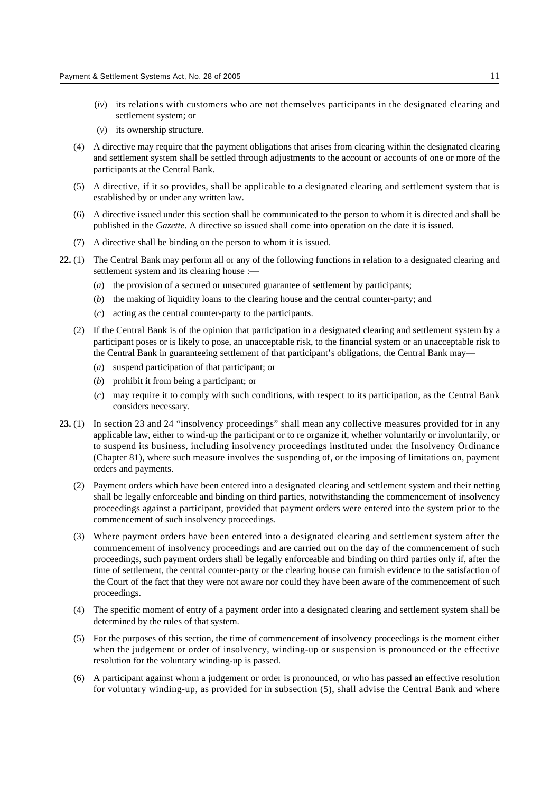- (*iv*) its relations with customers who are not themselves participants in the designated clearing and settlement system; or
- (*v*) its ownership structure.
- (4) A directive may require that the payment obligations that arises from clearing within the designated clearing and settlement system shall be settled through adjustments to the account or accounts of one or more of the participants at the Central Bank.
- (5) A directive, if it so provides, shall be applicable to a designated clearing and settlement system that is established by or under any written law.
- (6) A directive issued under this section shall be communicated to the person to whom it is directed and shall be published in the *Gazette*. A directive so issued shall come into operation on the date it is issued.
- (7) A directive shall be binding on the person to whom it is issued.
- **22.** (1) The Central Bank may perform all or any of the following functions in relation to a designated clearing and settlement system and its clearing house :—
	- (*a*) the provision of a secured or unsecured guarantee of settlement by participants;
	- (*b*) the making of liquidity loans to the clearing house and the central counter-party; and
	- (*c*) acting as the central counter-party to the participants.
	- (2) If the Central Bank is of the opinion that participation in a designated clearing and settlement system by a participant poses or is likely to pose, an unacceptable risk, to the financial system or an unacceptable risk to the Central Bank in guaranteeing settlement of that participant's obligations, the Central Bank may—
		- (*a*) suspend participation of that participant; or
		- (*b*) prohibit it from being a participant; or
		- (*c*) may require it to comply with such conditions, with respect to its participation, as the Central Bank considers necessary.
- **23.** (1) In section 23 and 24 "insolvency proceedings" shall mean any collective measures provided for in any applicable law, either to wind-up the participant or to re organize it, whether voluntarily or involuntarily, or to suspend its business, including insolvency proceedings instituted under the Insolvency Ordinance (Chapter 81), where such measure involves the suspending of, or the imposing of limitations on, payment orders and payments.
	- (2) Payment orders which have been entered into a designated clearing and settlement system and their netting shall be legally enforceable and binding on third parties, notwithstanding the commencement of insolvency proceedings against a participant, provided that payment orders were entered into the system prior to the commencement of such insolvency proceedings.
	- (3) Where payment orders have been entered into a designated clearing and settlement system after the commencement of insolvency proceedings and are carried out on the day of the commencement of such proceedings, such payment orders shall be legally enforceable and binding on third parties only if, after the time of settlement, the central counter-party or the clearing house can furnish evidence to the satisfaction of the Court of the fact that they were not aware nor could they have been aware of the commencement of such proceedings.
	- (4) The specific moment of entry of a payment order into a designated clearing and settlement system shall be determined by the rules of that system.
	- (5) For the purposes of this section, the time of commencement of insolvency proceedings is the moment either when the judgement or order of insolvency, winding-up or suspension is pronounced or the effective resolution for the voluntary winding-up is passed.
	- (6) A participant against whom a judgement or order is pronounced, or who has passed an effective resolution for voluntary winding-up, as provided for in subsection (5), shall advise the Central Bank and where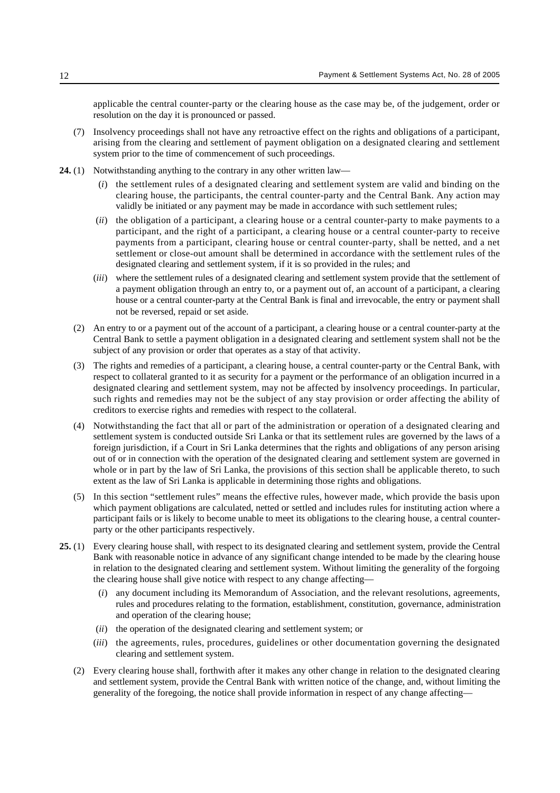applicable the central counter-party or the clearing house as the case may be, of the judgement, order or resolution on the day it is pronounced or passed.

- (7) Insolvency proceedings shall not have any retroactive effect on the rights and obligations of a participant, arising from the clearing and settlement of payment obligation on a designated clearing and settlement system prior to the time of commencement of such proceedings.
- **24.** (1) Notwithstanding anything to the contrary in any other written law—
	- (*i*) the settlement rules of a designated clearing and settlement system are valid and binding on the clearing house, the participants, the central counter-party and the Central Bank. Any action may validly be initiated or any payment may be made in accordance with such settlement rules;
	- (*ii*) the obligation of a participant, a clearing house or a central counter-party to make payments to a participant, and the right of a participant, a clearing house or a central counter-party to receive payments from a participant, clearing house or central counter-party, shall be netted, and a net settlement or close-out amount shall be determined in accordance with the settlement rules of the designated clearing and settlement system, if it is so provided in the rules; and
	- (*iii*) where the settlement rules of a designated clearing and settlement system provide that the settlement of a payment obligation through an entry to, or a payment out of, an account of a participant, a clearing house or a central counter-party at the Central Bank is final and irrevocable, the entry or payment shall not be reversed, repaid or set aside.
	- (2) An entry to or a payment out of the account of a participant, a clearing house or a central counter-party at the Central Bank to settle a payment obligation in a designated clearing and settlement system shall not be the subject of any provision or order that operates as a stay of that activity.
	- (3) The rights and remedies of a participant, a clearing house, a central counter-party or the Central Bank, with respect to collateral granted to it as security for a payment or the performance of an obligation incurred in a designated clearing and settlement system, may not be affected by insolvency proceedings. In particular, such rights and remedies may not be the subject of any stay provision or order affecting the ability of creditors to exercise rights and remedies with respect to the collateral.
	- (4) Notwithstanding the fact that all or part of the administration or operation of a designated clearing and settlement system is conducted outside Sri Lanka or that its settlement rules are governed by the laws of a foreign jurisdiction, if a Court in Sri Lanka determines that the rights and obligations of any person arising out of or in connection with the operation of the designated clearing and settlement system are governed in whole or in part by the law of Sri Lanka, the provisions of this section shall be applicable thereto, to such extent as the law of Sri Lanka is applicable in determining those rights and obligations.
	- (5) In this section "settlement rules" means the effective rules, however made, which provide the basis upon which payment obligations are calculated, netted or settled and includes rules for instituting action where a participant fails or is likely to become unable to meet its obligations to the clearing house, a central counterparty or the other participants respectively.
- **25.** (1) Every clearing house shall, with respect to its designated clearing and settlement system, provide the Central Bank with reasonable notice in advance of any significant change intended to be made by the clearing house in relation to the designated clearing and settlement system. Without limiting the generality of the forgoing the clearing house shall give notice with respect to any change affecting—
	- (*i*) any document including its Memorandum of Association, and the relevant resolutions, agreements, rules and procedures relating to the formation, establishment, constitution, governance, administration and operation of the clearing house;
	- (*ii*) the operation of the designated clearing and settlement system; or
	- (*iii*) the agreements, rules, procedures, guidelines or other documentation governing the designated clearing and settlement system.
	- (2) Every clearing house shall, forthwith after it makes any other change in relation to the designated clearing and settlement system, provide the Central Bank with written notice of the change, and, without limiting the generality of the foregoing, the notice shall provide information in respect of any change affecting—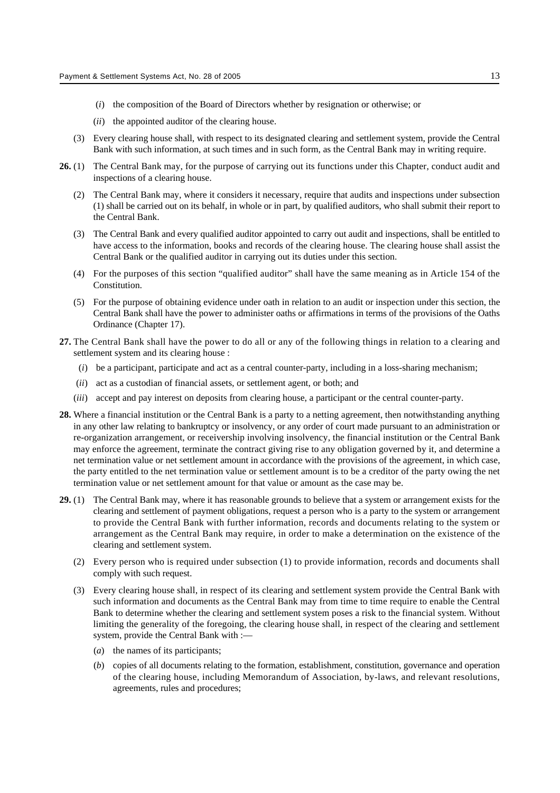- (*i*) the composition of the Board of Directors whether by resignation or otherwise; or
- (*ii*) the appointed auditor of the clearing house.
- (3) Every clearing house shall, with respect to its designated clearing and settlement system, provide the Central Bank with such information, at such times and in such form, as the Central Bank may in writing require.
- **26.** (1) The Central Bank may, for the purpose of carrying out its functions under this Chapter, conduct audit and inspections of a clearing house.
	- (2) The Central Bank may, where it considers it necessary, require that audits and inspections under subsection (1) shall be carried out on its behalf, in whole or in part, by qualified auditors, who shall submit their report to the Central Bank.
	- (3) The Central Bank and every qualified auditor appointed to carry out audit and inspections, shall be entitled to have access to the information, books and records of the clearing house. The clearing house shall assist the Central Bank or the qualified auditor in carrying out its duties under this section.
	- (4) For the purposes of this section "qualified auditor" shall have the same meaning as in Article 154 of the Constitution.
	- (5) For the purpose of obtaining evidence under oath in relation to an audit or inspection under this section, the Central Bank shall have the power to administer oaths or affirmations in terms of the provisions of the Oaths Ordinance (Chapter 17).
- **27.** The Central Bank shall have the power to do all or any of the following things in relation to a clearing and settlement system and its clearing house :
	- (*i*) be a participant, participate and act as a central counter-party, including in a loss-sharing mechanism;
	- (*ii*) act as a custodian of financial assets, or settlement agent, or both; and
	- (*iii*) accept and pay interest on deposits from clearing house, a participant or the central counter-party.
- **28.** Where a financial institution or the Central Bank is a party to a netting agreement, then notwithstanding anything in any other law relating to bankruptcy or insolvency, or any order of court made pursuant to an administration or re-organization arrangement, or receivership involving insolvency, the financial institution or the Central Bank may enforce the agreement, terminate the contract giving rise to any obligation governed by it, and determine a net termination value or net settlement amount in accordance with the provisions of the agreement, in which case, the party entitled to the net termination value or settlement amount is to be a creditor of the party owing the net termination value or net settlement amount for that value or amount as the case may be.
- **29.** (1) The Central Bank may, where it has reasonable grounds to believe that a system or arrangement exists for the clearing and settlement of payment obligations, request a person who is a party to the system or arrangement to provide the Central Bank with further information, records and documents relating to the system or arrangement as the Central Bank may require, in order to make a determination on the existence of the clearing and settlement system.
	- (2) Every person who is required under subsection (1) to provide information, records and documents shall comply with such request.
	- (3) Every clearing house shall, in respect of its clearing and settlement system provide the Central Bank with such information and documents as the Central Bank may from time to time require to enable the Central Bank to determine whether the clearing and settlement system poses a risk to the financial system. Without limiting the generality of the foregoing, the clearing house shall, in respect of the clearing and settlement system, provide the Central Bank with :—
		- (*a*) the names of its participants;
		- (*b*) copies of all documents relating to the formation, establishment, constitution, governance and operation of the clearing house, including Memorandum of Association, by-laws, and relevant resolutions, agreements, rules and procedures;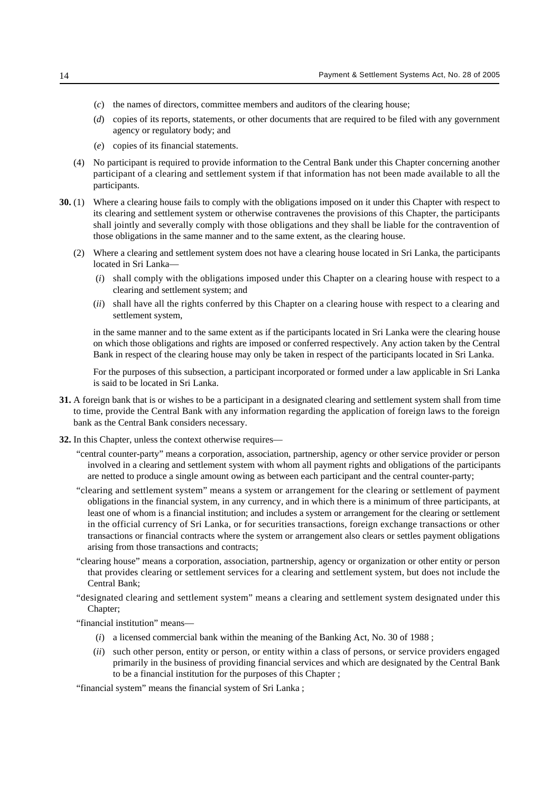- (*c*) the names of directors, committee members and auditors of the clearing house;
- (*d*) copies of its reports, statements, or other documents that are required to be filed with any government agency or regulatory body; and
- (*e*) copies of its financial statements.
- (4) No participant is required to provide information to the Central Bank under this Chapter concerning another participant of a clearing and settlement system if that information has not been made available to all the participants.
- **30.** (1) Where a clearing house fails to comply with the obligations imposed on it under this Chapter with respect to its clearing and settlement system or otherwise contravenes the provisions of this Chapter, the participants shall jointly and severally comply with those obligations and they shall be liable for the contravention of those obligations in the same manner and to the same extent, as the clearing house.
	- (2) Where a clearing and settlement system does not have a clearing house located in Sri Lanka, the participants located in Sri Lanka—
		- (*i*) shall comply with the obligations imposed under this Chapter on a clearing house with respect to a clearing and settlement system; and
		- (*ii*) shall have all the rights conferred by this Chapter on a clearing house with respect to a clearing and settlement system,

in the same manner and to the same extent as if the participants located in Sri Lanka were the clearing house on which those obligations and rights are imposed or conferred respectively. Any action taken by the Central Bank in respect of the clearing house may only be taken in respect of the participants located in Sri Lanka.

For the purposes of this subsection, a participant incorporated or formed under a law applicable in Sri Lanka is said to be located in Sri Lanka.

- **31.** A foreign bank that is or wishes to be a participant in a designated clearing and settlement system shall from time to time, provide the Central Bank with any information regarding the application of foreign laws to the foreign bank as the Central Bank considers necessary.
- **32.** In this Chapter, unless the context otherwise requires—
	- "central counter-party" means a corporation, association, partnership, agency or other service provider or person involved in a clearing and settlement system with whom all payment rights and obligations of the participants are netted to produce a single amount owing as between each participant and the central counter-party;
	- "clearing and settlement system" means a system or arrangement for the clearing or settlement of payment obligations in the financial system, in any currency, and in which there is a minimum of three participants, at least one of whom is a financial institution; and includes a system or arrangement for the clearing or settlement in the official currency of Sri Lanka, or for securities transactions, foreign exchange transactions or other transactions or financial contracts where the system or arrangement also clears or settles payment obligations arising from those transactions and contracts;
	- "clearing house" means a corporation, association, partnership, agency or organization or other entity or person that provides clearing or settlement services for a clearing and settlement system, but does not include the Central Bank;
	- "designated clearing and settlement system" means a clearing and settlement system designated under this Chapter;
	- "financial institution" means—
		- (*i*) a licensed commercial bank within the meaning of the Banking Act, No. 30 of 1988 ;
		- (*ii*) such other person, entity or person, or entity within a class of persons, or service providers engaged primarily in the business of providing financial services and which are designated by the Central Bank to be a financial institution for the purposes of this Chapter ;

"financial system" means the financial system of Sri Lanka ;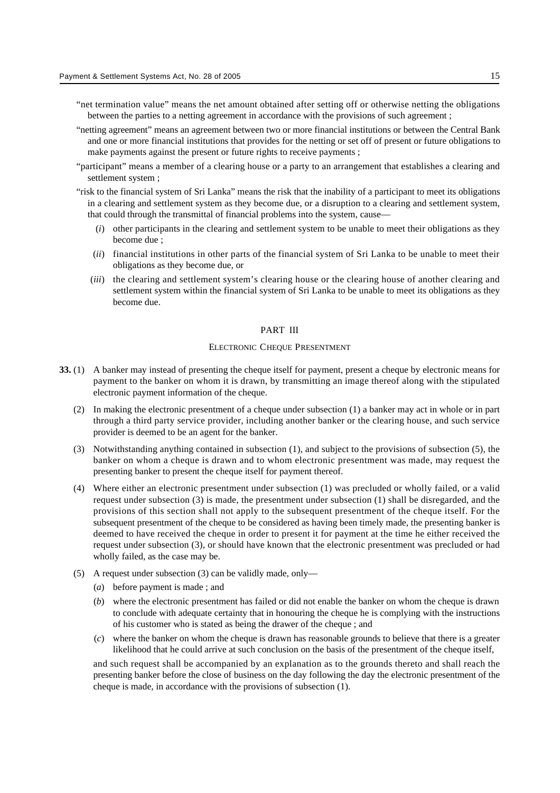- "net termination value" means the net amount obtained after setting off or otherwise netting the obligations between the parties to a netting agreement in accordance with the provisions of such agreement ;
- "netting agreement" means an agreement between two or more financial institutions or between the Central Bank and one or more financial institutions that provides for the netting or set off of present or future obligations to make payments against the present or future rights to receive payments ;
- "participant" means a member of a clearing house or a party to an arrangement that establishes a clearing and settlement system ;
- "risk to the financial system of Sri Lanka" means the risk that the inability of a participant to meet its obligations in a clearing and settlement system as they become due, or a disruption to a clearing and settlement system, that could through the transmittal of financial problems into the system, cause—
	- (*i*) other participants in the clearing and settlement system to be unable to meet their obligations as they become due ;
	- (*ii*) financial institutions in other parts of the financial system of Sri Lanka to be unable to meet their obligations as they become due, or
	- (*iii*) the clearing and settlement system's clearing house or the clearing house of another clearing and settlement system within the financial system of Sri Lanka to be unable to meet its obligations as they become due.

#### PART III

# ELECTRONIC CHEQUE PRESENTMENT

- **33.** (1) A banker may instead of presenting the cheque itself for payment, present a cheque by electronic means for payment to the banker on whom it is drawn, by transmitting an image thereof along with the stipulated electronic payment information of the cheque.
	- (2) In making the electronic presentment of a cheque under subsection (1) a banker may act in whole or in part through a third party service provider, including another banker or the clearing house, and such service provider is deemed to be an agent for the banker.
	- (3) Notwithstanding anything contained in subsection (1), and subject to the provisions of subsection (5), the banker on whom a cheque is drawn and to whom electronic presentment was made, may request the presenting banker to present the cheque itself for payment thereof.
	- (4) Where either an electronic presentment under subsection (1) was precluded or wholly failed, or a valid request under subsection (3) is made, the presentment under subsection (1) shall be disregarded, and the provisions of this section shall not apply to the subsequent presentment of the cheque itself. For the subsequent presentment of the cheque to be considered as having been timely made, the presenting banker is deemed to have received the cheque in order to present it for payment at the time he either received the request under subsection (3), or should have known that the electronic presentment was precluded or had wholly failed, as the case may be.
	- (5) A request under subsection (3) can be validly made, only—
		- (*a*) before payment is made ; and
		- (*b*) where the electronic presentment has failed or did not enable the banker on whom the cheque is drawn to conclude with adequate certainty that in honouring the cheque he is complying with the instructions of his customer who is stated as being the drawer of the cheque ; and
		- (*c*) where the banker on whom the cheque is drawn has reasonable grounds to believe that there is a greater likelihood that he could arrive at such conclusion on the basis of the presentment of the cheque itself,

and such request shall be accompanied by an explanation as to the grounds thereto and shall reach the presenting banker before the close of business on the day following the day the electronic presentment of the cheque is made, in accordance with the provisions of subsection (1).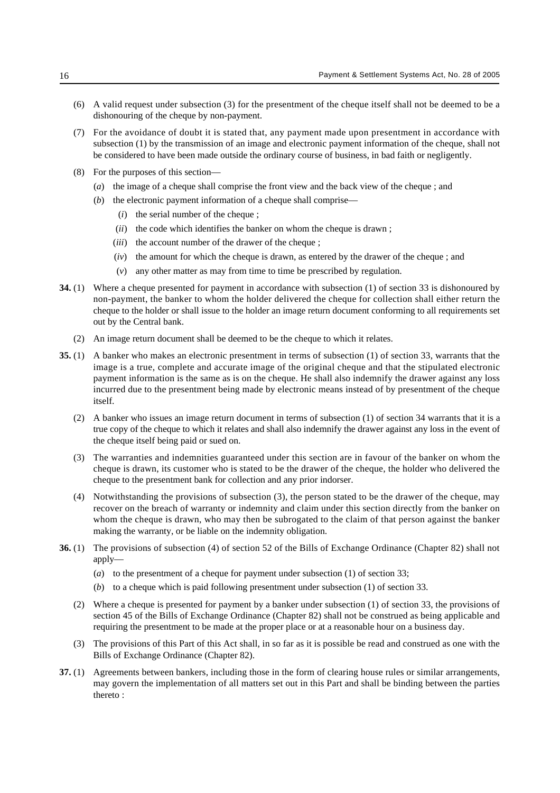- (6) A valid request under subsection (3) for the presentment of the cheque itself shall not be deemed to be a dishonouring of the cheque by non-payment.
- (7) For the avoidance of doubt it is stated that, any payment made upon presentment in accordance with subsection (1) by the transmission of an image and electronic payment information of the cheque, shall not be considered to have been made outside the ordinary course of business, in bad faith or negligently.
- (8) For the purposes of this section—
	- (*a*) the image of a cheque shall comprise the front view and the back view of the cheque ; and
	- (*b*) the electronic payment information of a cheque shall comprise—
		- (*i*) the serial number of the cheque ;
		- (*ii*) the code which identifies the banker on whom the cheque is drawn ;
		- (*iii*) the account number of the drawer of the cheque ;
		- (*iv*) the amount for which the cheque is drawn, as entered by the drawer of the cheque ; and
		- (*v*) any other matter as may from time to time be prescribed by regulation.
- **34.** (1) Where a cheque presented for payment in accordance with subsection (1) of section 33 is dishonoured by non-payment, the banker to whom the holder delivered the cheque for collection shall either return the cheque to the holder or shall issue to the holder an image return document conforming to all requirements set out by the Central bank.
	- (2) An image return document shall be deemed to be the cheque to which it relates.
- **35.** (1) A banker who makes an electronic presentment in terms of subsection (1) of section 33, warrants that the image is a true, complete and accurate image of the original cheque and that the stipulated electronic payment information is the same as is on the cheque. He shall also indemnify the drawer against any loss incurred due to the presentment being made by electronic means instead of by presentment of the cheque itself.
	- (2) A banker who issues an image return document in terms of subsection (1) of section 34 warrants that it is a true copy of the cheque to which it relates and shall also indemnify the drawer against any loss in the event of the cheque itself being paid or sued on.
	- (3) The warranties and indemnities guaranteed under this section are in favour of the banker on whom the cheque is drawn, its customer who is stated to be the drawer of the cheque, the holder who delivered the cheque to the presentment bank for collection and any prior indorser.
	- (4) Notwithstanding the provisions of subsection (3), the person stated to be the drawer of the cheque, may recover on the breach of warranty or indemnity and claim under this section directly from the banker on whom the cheque is drawn, who may then be subrogated to the claim of that person against the banker making the warranty, or be liable on the indemnity obligation.
- **36.** (1) The provisions of subsection (4) of section 52 of the Bills of Exchange Ordinance (Chapter 82) shall not apply—
	- (*a*) to the presentment of a cheque for payment under subsection (1) of section 33;
	- (*b*) to a cheque which is paid following presentment under subsection (1) of section 33.
	- (2) Where a cheque is presented for payment by a banker under subsection (1) of section 33, the provisions of section 45 of the Bills of Exchange Ordinance (Chapter 82) shall not be construed as being applicable and requiring the presentment to be made at the proper place or at a reasonable hour on a business day.
	- (3) The provisions of this Part of this Act shall, in so far as it is possible be read and construed as one with the Bills of Exchange Ordinance (Chapter 82).
- **37.** (1) Agreements between bankers, including those in the form of clearing house rules or similar arrangements, may govern the implementation of all matters set out in this Part and shall be binding between the parties thereto :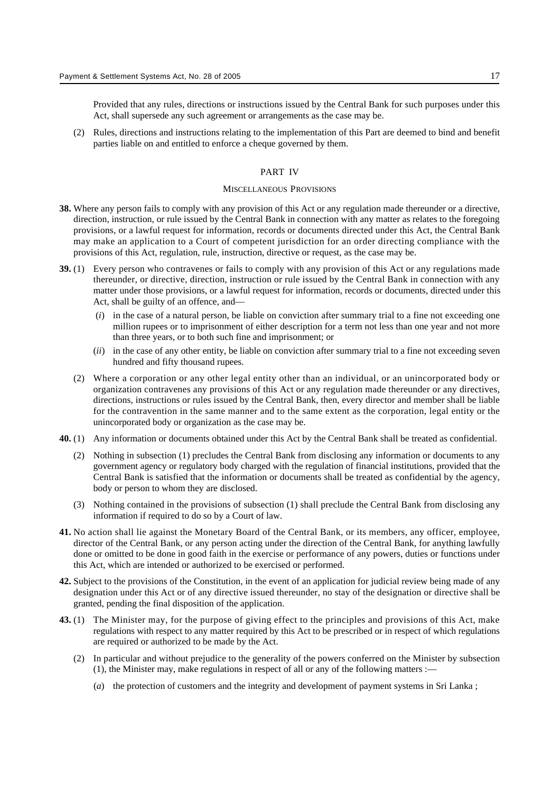Provided that any rules, directions or instructions issued by the Central Bank for such purposes under this Act, shall supersede any such agreement or arrangements as the case may be.

(2) Rules, directions and instructions relating to the implementation of this Part are deemed to bind and benefit parties liable on and entitled to enforce a cheque governed by them.

# PART IV

#### MISCELLANEOUS PROVISIONS

- **38.** Where any person fails to comply with any provision of this Act or any regulation made thereunder or a directive, direction, instruction, or rule issued by the Central Bank in connection with any matter as relates to the foregoing provisions, or a lawful request for information, records or documents directed under this Act, the Central Bank may make an application to a Court of competent jurisdiction for an order directing compliance with the provisions of this Act, regulation, rule, instruction, directive or request, as the case may be.
- **39.** (1) Every person who contravenes or fails to comply with any provision of this Act or any regulations made thereunder, or directive, direction, instruction or rule issued by the Central Bank in connection with any matter under those provisions, or a lawful request for information, records or documents, directed under this Act, shall be guilty of an offence, and—
	- (*i*) in the case of a natural person, be liable on conviction after summary trial to a fine not exceeding one million rupees or to imprisonment of either description for a term not less than one year and not more than three years, or to both such fine and imprisonment; or
	- (*ii*) in the case of any other entity, be liable on conviction after summary trial to a fine not exceeding seven hundred and fifty thousand rupees.
	- (2) Where a corporation or any other legal entity other than an individual, or an unincorporated body or organization contravenes any provisions of this Act or any regulation made thereunder or any directives, directions, instructions or rules issued by the Central Bank, then, every director and member shall be liable for the contravention in the same manner and to the same extent as the corporation, legal entity or the unincorporated body or organization as the case may be.
- **40.** (1) Any information or documents obtained under this Act by the Central Bank shall be treated as confidential.
	- (2) Nothing in subsection (1) precludes the Central Bank from disclosing any information or documents to any government agency or regulatory body charged with the regulation of financial institutions, provided that the Central Bank is satisfied that the information or documents shall be treated as confidential by the agency, body or person to whom they are disclosed.
	- (3) Nothing contained in the provisions of subsection (1) shall preclude the Central Bank from disclosing any information if required to do so by a Court of law.
- **41.** No action shall lie against the Monetary Board of the Central Bank, or its members, any officer, employee, director of the Central Bank, or any person acting under the direction of the Central Bank, for anything lawfully done or omitted to be done in good faith in the exercise or performance of any powers, duties or functions under this Act, which are intended or authorized to be exercised or performed.
- **42.** Subject to the provisions of the Constitution, in the event of an application for judicial review being made of any designation under this Act or of any directive issued thereunder, no stay of the designation or directive shall be granted, pending the final disposition of the application.
- **43.** (1) The Minister may, for the purpose of giving effect to the principles and provisions of this Act, make regulations with respect to any matter required by this Act to be prescribed or in respect of which regulations are required or authorized to be made by the Act.
	- (2) In particular and without prejudice to the generality of the powers conferred on the Minister by subsection (1), the Minister may, make regulations in respect of all or any of the following matters :—
		- (*a*) the protection of customers and the integrity and development of payment systems in Sri Lanka ;